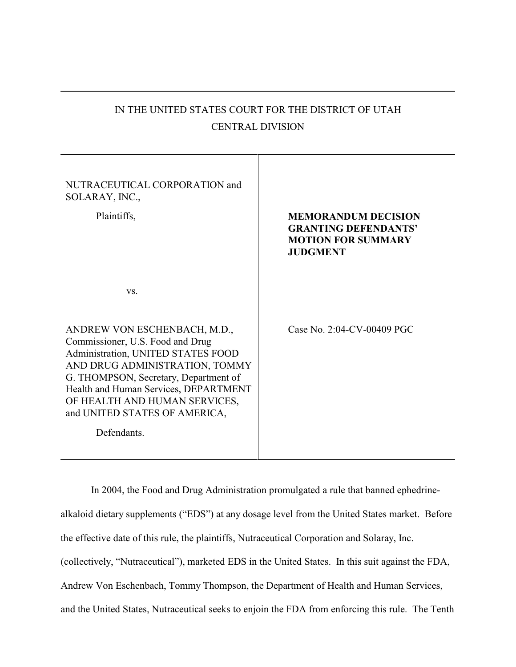| IN THE UNITED STATES COURT FOR THE DISTRICT OF UTAH |
|-----------------------------------------------------|
| <b>CENTRAL DIVISION</b>                             |

| NUTRACEUTICAL CORPORATION and<br>SOLARAY, INC.,<br>Plaintiffs,                                                                                                                                                                                                                                              | <b>MEMORANDUM DECISION</b><br><b>GRANTING DEFENDANTS'</b><br><b>MOTION FOR SUMMARY</b><br><b>JUDGMENT</b> |
|-------------------------------------------------------------------------------------------------------------------------------------------------------------------------------------------------------------------------------------------------------------------------------------------------------------|-----------------------------------------------------------------------------------------------------------|
| VS.                                                                                                                                                                                                                                                                                                         |                                                                                                           |
| ANDREW VON ESCHENBACH, M.D.,<br>Commissioner, U.S. Food and Drug<br>Administration, UNITED STATES FOOD<br>AND DRUG ADMINISTRATION, TOMMY<br>G. THOMPSON, Secretary, Department of<br>Health and Human Services, DEPARTMENT<br>OF HEALTH AND HUMAN SERVICES,<br>and UNITED STATES OF AMERICA,<br>Defendants. | Case No. 2:04-CV-00409 PGC                                                                                |
|                                                                                                                                                                                                                                                                                                             |                                                                                                           |

In 2004, the Food and Drug Administration promulgated a rule that banned ephedrinealkaloid dietary supplements ("EDS") at any dosage level from the United States market. Before the effective date of this rule, the plaintiffs, Nutraceutical Corporation and Solaray, Inc. (collectively, "Nutraceutical"), marketed EDS in the United States. In this suit against the FDA, Andrew Von Eschenbach, Tommy Thompson, the Department of Health and Human Services, and the United States, Nutraceutical seeks to enjoin the FDA from enforcing this rule. The Tenth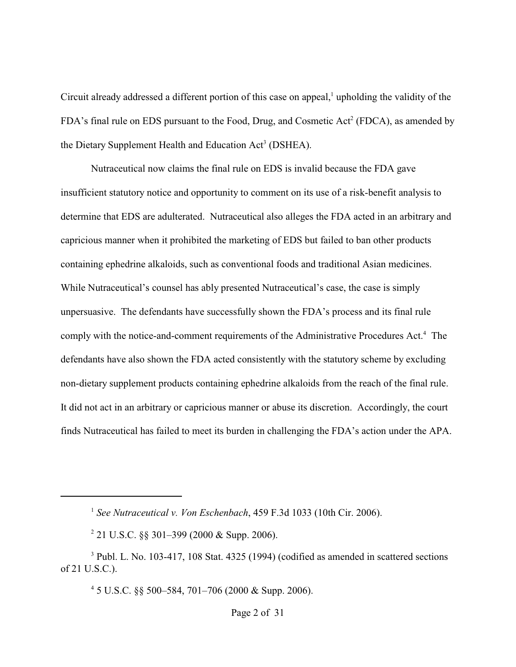Circuit already addressed a different portion of this case on appeal, $<sup>1</sup>$  upholding the validity of the</sup> FDA's final rule on EDS pursuant to the Food, Drug, and Cosmetic Act<sup>2</sup> (FDCA), as amended by the Dietary Supplement Health and Education  $Act<sup>3</sup>$  (DSHEA).

Nutraceutical now claims the final rule on EDS is invalid because the FDA gave insufficient statutory notice and opportunity to comment on its use of a risk-benefit analysis to determine that EDS are adulterated. Nutraceutical also alleges the FDA acted in an arbitrary and capricious manner when it prohibited the marketing of EDS but failed to ban other products containing ephedrine alkaloids, such as conventional foods and traditional Asian medicines. While Nutraceutical's counsel has ably presented Nutraceutical's case, the case is simply unpersuasive. The defendants have successfully shown the FDA's process and its final rule comply with the notice-and-comment requirements of the Administrative Procedures Act.<sup>4</sup> The defendants have also shown the FDA acted consistently with the statutory scheme by excluding non-dietary supplement products containing ephedrine alkaloids from the reach of the final rule. It did not act in an arbitrary or capricious manner or abuse its discretion. Accordingly, the court finds Nutraceutical has failed to meet its burden in challenging the FDA's action under the APA.

 $45$  U.S.C. §§ 500–584, 701–706 (2000 & Supp. 2006).

<sup>&</sup>lt;sup>1</sup> See Nutraceutical v. Von Eschenbach, 459 F.3d 1033 (10th Cir. 2006).

<sup>&</sup>lt;sup>2</sup> 21 U.S.C. §§ 301–399 (2000 & Supp. 2006).

 $3$  Publ. L. No. 103-417, 108 Stat. 4325 (1994) (codified as amended in scattered sections of 21 U.S.C.).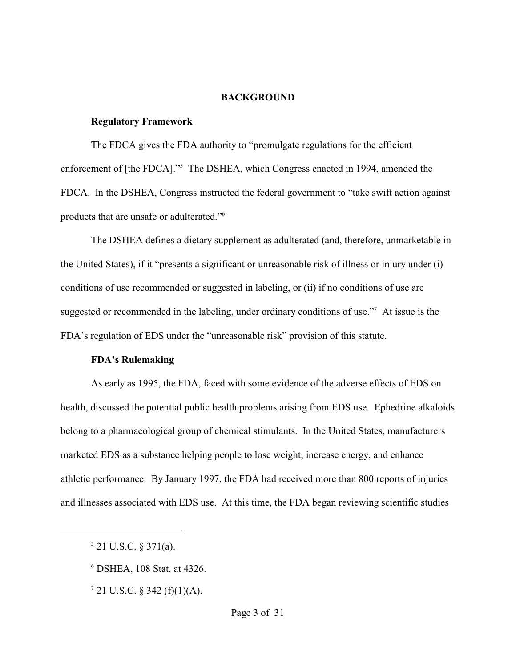#### **BACKGROUND**

### **Regulatory Framework**

The FDCA gives the FDA authority to "promulgate regulations for the efficient enforcement of [the FDCA]."<sup>5</sup> The DSHEA, which Congress enacted in 1994, amended the FDCA. In the DSHEA, Congress instructed the federal government to "take swift action against products that are unsafe or adulterated."<sup>6</sup>

The DSHEA defines a dietary supplement as adulterated (and, therefore, unmarketable in the United States), if it "presents a significant or unreasonable risk of illness or injury under (i) conditions of use recommended or suggested in labeling, or (ii) if no conditions of use are suggested or recommended in the labeling, under ordinary conditions of use."<sup>7</sup> At issue is the FDA's regulation of EDS under the "unreasonable risk" provision of this statute.

#### **FDA's Rulemaking**

As early as 1995, the FDA, faced with some evidence of the adverse effects of EDS on health, discussed the potential public health problems arising from EDS use. Ephedrine alkaloids belong to a pharmacological group of chemical stimulants. In the United States, manufacturers marketed EDS as a substance helping people to lose weight, increase energy, and enhance athletic performance. By January 1997, the FDA had received more than 800 reports of injuries and illnesses associated with EDS use. At this time, the FDA began reviewing scientific studies

 $7$  21 U.S.C. § 342 (f)(1)(A).

 $5$  21 U.S.C. § 371(a).

DSHEA, 108 Stat. at 4326. <sup>6</sup>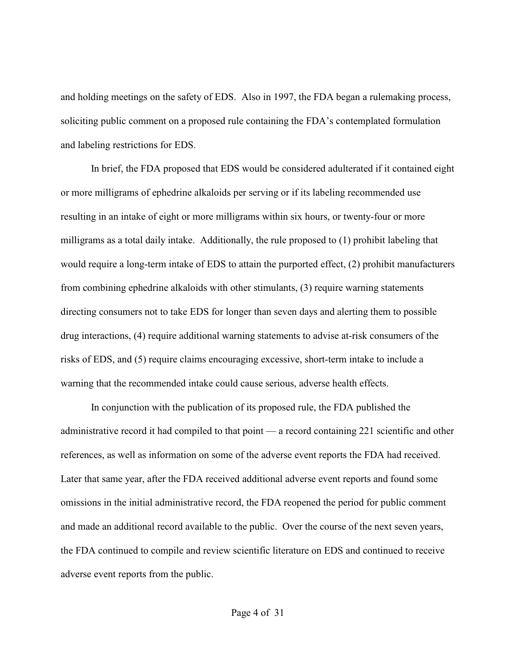and holding meetings on the safety of EDS. Also in 1997, the FDA began a rulemaking process, soliciting public comment on a proposed rule containing the FDA's contemplated formulation and labeling restrictions for EDS.

In brief, the FDA proposed that EDS would be considered adulterated if it contained eight or more milligrams of ephedrine alkaloids per serving or if its labeling recommended use resulting in an intake of eight or more milligrams within six hours, or twenty-four or more milligrams as a total daily intake. Additionally, the rule proposed to (1) prohibit labeling that would require a long-term intake of EDS to attain the purported effect, (2) prohibit manufacturers from combining ephedrine alkaloids with other stimulants, (3) require warning statements directing consumers not to take EDS for longer than seven days and alerting them to possible drug interactions, (4) require additional warning statements to advise at-risk consumers of the risks of EDS, and (5) require claims encouraging excessive, short-term intake to include a warning that the recommended intake could cause serious, adverse health effects.

In conjunction with the publication of its proposed rule, the FDA published the administrative record it had compiled to that point — a record containing 221 scientific and other references, as well as information on some of the adverse event reports the FDA had received. Later that same year, after the FDA received additional adverse event reports and found some omissions in the initial administrative record, the FDA reopened the period for public comment and made an additional record available to the public. Over the course of the next seven years, the FDA continued to compile and review scientific literature on EDS and continued to receive adverse event reports from the public.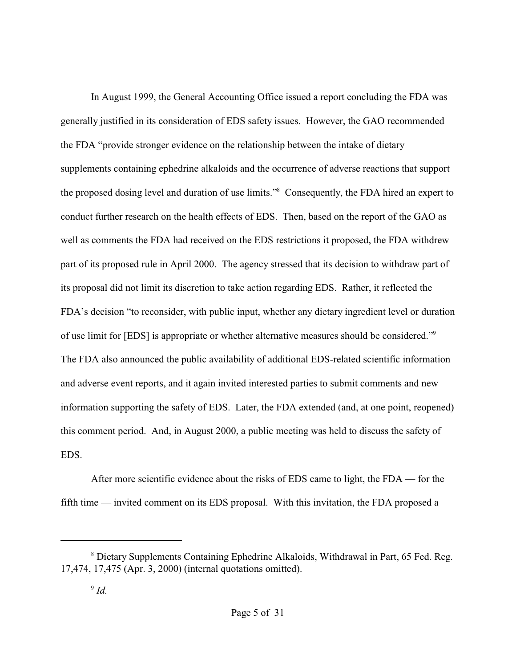In August 1999, the General Accounting Office issued a report concluding the FDA was generally justified in its consideration of EDS safety issues. However, the GAO recommended the FDA "provide stronger evidence on the relationship between the intake of dietary supplements containing ephedrine alkaloids and the occurrence of adverse reactions that support the proposed dosing level and duration of use limits."<sup>8</sup> Consequently, the FDA hired an expert to conduct further research on the health effects of EDS. Then, based on the report of the GAO as well as comments the FDA had received on the EDS restrictions it proposed, the FDA withdrew part of its proposed rule in April 2000. The agency stressed that its decision to withdraw part of its proposal did not limit its discretion to take action regarding EDS. Rather, it reflected the FDA's decision "to reconsider, with public input, whether any dietary ingredient level or duration of use limit for [EDS] is appropriate or whether alternative measures should be considered."<sup>9</sup> The FDA also announced the public availability of additional EDS-related scientific information and adverse event reports, and it again invited interested parties to submit comments and new information supporting the safety of EDS. Later, the FDA extended (and, at one point, reopened) this comment period. And, in August 2000, a public meeting was held to discuss the safety of EDS.

After more scientific evidence about the risks of EDS came to light, the FDA — for the fifth time — invited comment on its EDS proposal. With this invitation, the FDA proposed a

Dietary Supplements Containing Ephedrine Alkaloids, Withdrawal in Part, 65 Fed. Reg. <sup>8</sup> 17,474, 17,475 (Apr. 3, 2000) (internal quotations omitted).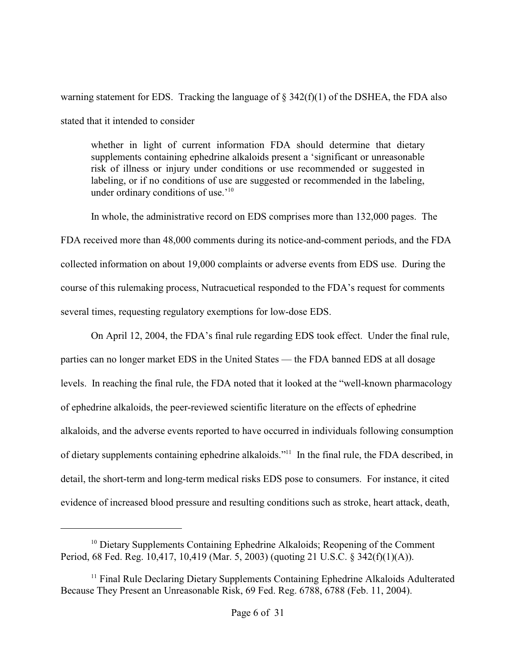warning statement for EDS. Tracking the language of  $\S$  342(f)(1) of the DSHEA, the FDA also stated that it intended to consider

whether in light of current information FDA should determine that dietary supplements containing ephedrine alkaloids present a 'significant or unreasonable risk of illness or injury under conditions or use recommended or suggested in labeling, or if no conditions of use are suggested or recommended in the labeling, under ordinary conditions of use.<sup>'10</sup>

In whole, the administrative record on EDS comprises more than 132,000 pages. The FDA received more than 48,000 comments during its notice-and-comment periods, and the FDA collected information on about 19,000 complaints or adverse events from EDS use. During the course of this rulemaking process, Nutracuetical responded to the FDA's request for comments several times, requesting regulatory exemptions for low-dose EDS.

On April 12, 2004, the FDA's final rule regarding EDS took effect. Under the final rule, parties can no longer market EDS in the United States — the FDA banned EDS at all dosage levels. In reaching the final rule, the FDA noted that it looked at the "well-known pharmacology of ephedrine alkaloids, the peer-reviewed scientific literature on the effects of ephedrine alkaloids, and the adverse events reported to have occurred in individuals following consumption of dietary supplements containing ephedrine alkaloids."<sup>11</sup> In the final rule, the FDA described, in detail, the short-term and long-term medical risks EDS pose to consumers. For instance, it cited evidence of increased blood pressure and resulting conditions such as stroke, heart attack, death,

 $10$  Dietary Supplements Containing Ephedrine Alkaloids; Reopening of the Comment Period, 68 Fed. Reg. 10,417, 10,419 (Mar. 5, 2003) (quoting 21 U.S.C. § 342(f)(1)(A)).

 $<sup>11</sup>$  Final Rule Declaring Dietary Supplements Containing Ephedrine Alkaloids Adulterated</sup> Because They Present an Unreasonable Risk, 69 Fed. Reg. 6788, 6788 (Feb. 11, 2004).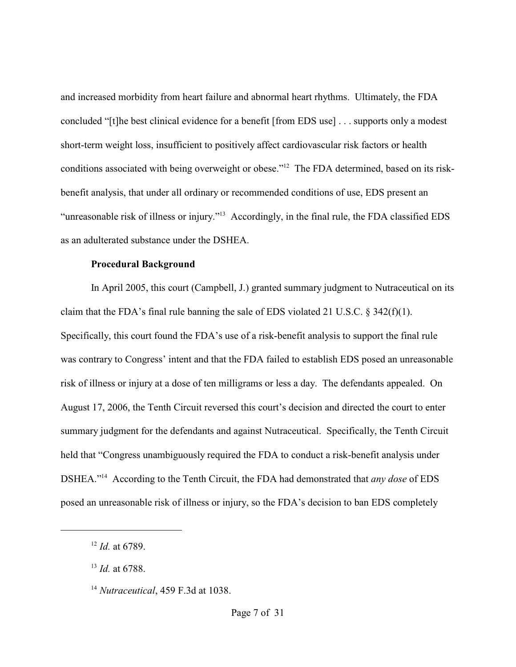and increased morbidity from heart failure and abnormal heart rhythms. Ultimately, the FDA concluded "[t]he best clinical evidence for a benefit [from EDS use] . . . supports only a modest short-term weight loss, insufficient to positively affect cardiovascular risk factors or health conditions associated with being overweight or obese."<sup>12</sup> The FDA determined, based on its riskbenefit analysis, that under all ordinary or recommended conditions of use, EDS present an "unreasonable risk of illness or injury."<sup>13</sup> Accordingly, in the final rule, the FDA classified EDS as an adulterated substance under the DSHEA.

### **Procedural Background**

In April 2005, this court (Campbell, J.) granted summary judgment to Nutraceutical on its claim that the FDA's final rule banning the sale of EDS violated 21 U.S.C. § 342(f)(1). Specifically, this court found the FDA's use of a risk-benefit analysis to support the final rule was contrary to Congress' intent and that the FDA failed to establish EDS posed an unreasonable risk of illness or injury at a dose of ten milligrams or less a day. The defendants appealed. On August 17, 2006, the Tenth Circuit reversed this court's decision and directed the court to enter summary judgment for the defendants and against Nutraceutical. Specifically, the Tenth Circuit held that "Congress unambiguously required the FDA to conduct a risk-benefit analysis under DSHEA."<sup>14</sup> According to the Tenth Circuit, the FDA had demonstrated that *any dose* of EDS posed an unreasonable risk of illness or injury, so the FDA's decision to ban EDS completely

 $12$  *Id.* at 6789.

<sup>&</sup>lt;sup>13</sup> *Id.* at 6788.

<sup>&</sup>lt;sup>14</sup> Nutraceutical, 459 F.3d at 1038.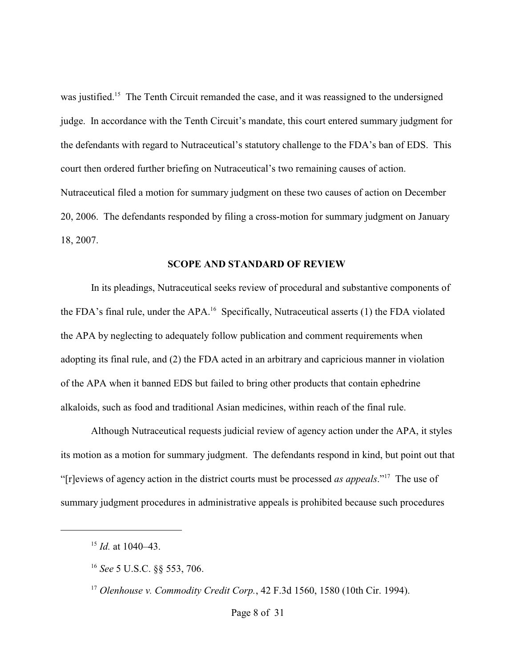was justified.<sup>15</sup> The Tenth Circuit remanded the case, and it was reassigned to the undersigned judge. In accordance with the Tenth Circuit's mandate, this court entered summary judgment for the defendants with regard to Nutraceutical's statutory challenge to the FDA's ban of EDS. This court then ordered further briefing on Nutraceutical's two remaining causes of action. Nutraceutical filed a motion for summary judgment on these two causes of action on December 20, 2006. The defendants responded by filing a cross-motion for summary judgment on January 18, 2007.

## **SCOPE AND STANDARD OF REVIEW**

In its pleadings, Nutraceutical seeks review of procedural and substantive components of the FDA's final rule, under the APA.<sup>16</sup> Specifically, Nutraceutical asserts (1) the FDA violated the APA by neglecting to adequately follow publication and comment requirements when adopting its final rule, and (2) the FDA acted in an arbitrary and capricious manner in violation of the APA when it banned EDS but failed to bring other products that contain ephedrine alkaloids, such as food and traditional Asian medicines, within reach of the final rule.

Although Nutraceutical requests judicial review of agency action under the APA, it styles its motion as a motion for summary judgment. The defendants respond in kind, but point out that "[r]eviews of agency action in the district courts must be processed *as appeals*."<sup>17</sup> The use of summary judgment procedures in administrative appeals is prohibited because such procedures

 $^{15}$  *Id.* at 1040–43.

<sup>&</sup>lt;sup>16</sup> See 5 U.S.C. §§ 553, 706.

<sup>&</sup>lt;sup>17</sup> Olenhouse v. Commodity Credit Corp., 42 F.3d 1560, 1580 (10th Cir. 1994).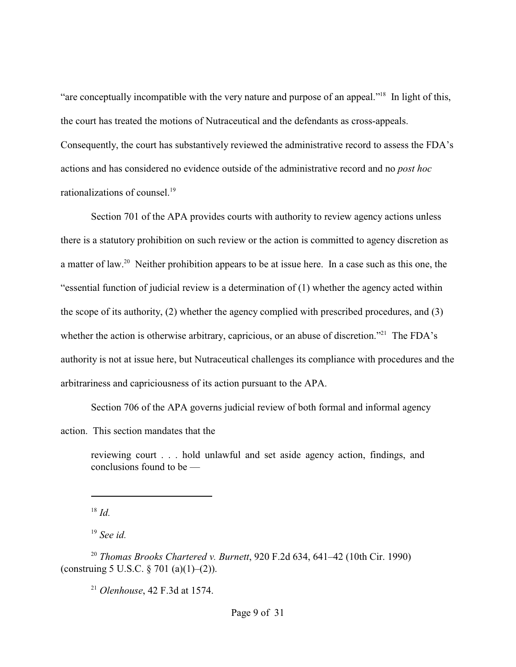"are conceptually incompatible with the very nature and purpose of an appeal."<sup>18</sup> In light of this, the court has treated the motions of Nutraceutical and the defendants as cross-appeals. Consequently, the court has substantively reviewed the administrative record to assess the FDA's actions and has considered no evidence outside of the administrative record and no *post hoc* rationalizations of counsel.<sup>19</sup>

Section 701 of the APA provides courts with authority to review agency actions unless there is a statutory prohibition on such review or the action is committed to agency discretion as a matter of law.<sup>20</sup> Neither prohibition appears to be at issue here. In a case such as this one, the "essential function of judicial review is a determination of (1) whether the agency acted within the scope of its authority, (2) whether the agency complied with prescribed procedures, and (3) whether the action is otherwise arbitrary, capricious, or an abuse of discretion."<sup>21</sup> The FDA's authority is not at issue here, but Nutraceutical challenges its compliance with procedures and the arbitrariness and capriciousness of its action pursuant to the APA.

Section 706 of the APA governs judicial review of both formal and informal agency

action. This section mandates that the

reviewing court . . . hold unlawful and set aside agency action, findings, and conclusions found to be —

 $^{18}$  *Id.* 

<sup>19</sup> See id.

<sup>20</sup> Thomas Brooks Chartered v. Burnett, 920 F.2d 634, 641–42 (10th Cir. 1990) (construing 5 U.S.C.  $\S 701$  (a)(1)–(2)).

<sup>21</sup> Olenhouse, 42 F.3d at 1574.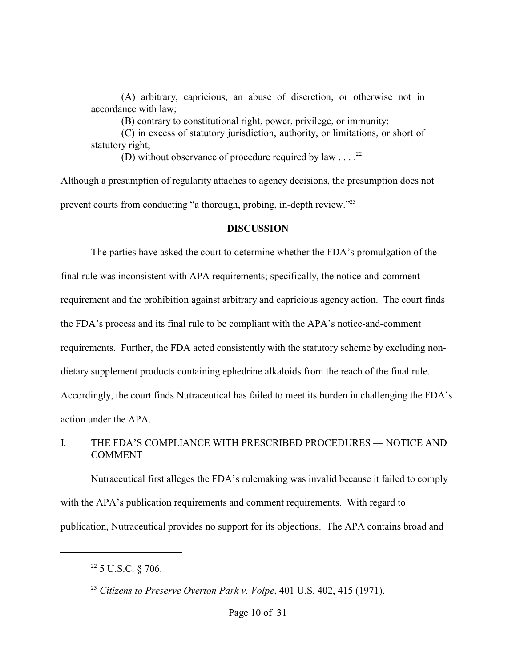(A) arbitrary, capricious, an abuse of discretion, or otherwise not in accordance with law;

(B) contrary to constitutional right, power, privilege, or immunity;

(C) in excess of statutory jurisdiction, authority, or limitations, or short of statutory right;

(D) without observance of procedure required by law . . . .  $^{22}$ 

Although a presumption of regularity attaches to agency decisions, the presumption does not prevent courts from conducting "a thorough, probing, in-depth review."<sup>23</sup>

## **DISCUSSION**

The parties have asked the court to determine whether the FDA's promulgation of the final rule was inconsistent with APA requirements; specifically, the notice-and-comment requirement and the prohibition against arbitrary and capricious agency action. The court finds the FDA's process and its final rule to be compliant with the APA's notice-and-comment requirements. Further, the FDA acted consistently with the statutory scheme by excluding nondietary supplement products containing ephedrine alkaloids from the reach of the final rule. Accordingly, the court finds Nutraceutical has failed to meet its burden in challenging the FDA's action under the APA.

## I. THE FDA'S COMPLIANCE WITH PRESCRIBED PROCEDURES — NOTICE AND **COMMENT**

Nutraceutical first alleges the FDA's rulemaking was invalid because it failed to comply with the APA's publication requirements and comment requirements. With regard to publication, Nutraceutical provides no support for its objections. The APA contains broad and

 $22$  5 U.S.C. § 706.

<sup>&</sup>lt;sup>23</sup> Citizens to Preserve Overton Park v. Volpe,  $401$  U.S.  $402$ ,  $415$  (1971).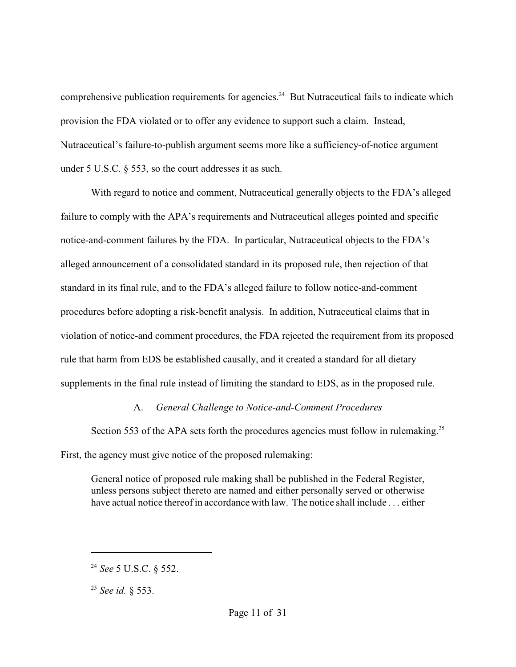comprehensive publication requirements for agencies.<sup>24</sup> But Nutraceutical fails to indicate which provision the FDA violated or to offer any evidence to support such a claim. Instead, Nutraceutical's failure-to-publish argument seems more like a sufficiency-of-notice argument under 5 U.S.C. § 553, so the court addresses it as such.

With regard to notice and comment, Nutraceutical generally objects to the FDA's alleged failure to comply with the APA's requirements and Nutraceutical alleges pointed and specific notice-and-comment failures by the FDA. In particular, Nutraceutical objects to the FDA's alleged announcement of a consolidated standard in its proposed rule, then rejection of that standard in its final rule, and to the FDA's alleged failure to follow notice-and-comment procedures before adopting a risk-benefit analysis. In addition, Nutraceutical claims that in violation of notice-and comment procedures, the FDA rejected the requirement from its proposed rule that harm from EDS be established causally, and it created a standard for all dietary supplements in the final rule instead of limiting the standard to EDS, as in the proposed rule.

# A. *General Challenge to Notice-and-Comment Procedures*

Section 553 of the APA sets forth the procedures agencies must follow in rulemaking.<sup>25</sup> First, the agency must give notice of the proposed rulemaking:

General notice of proposed rule making shall be published in the Federal Register, unless persons subject thereto are named and either personally served or otherwise have actual notice thereof in accordance with law. The notice shall include . . . either

<sup>&</sup>lt;sup>24</sup> See 5 U.S.C. § 552.

<sup>&</sup>lt;sup>25</sup> *See id.* § 553.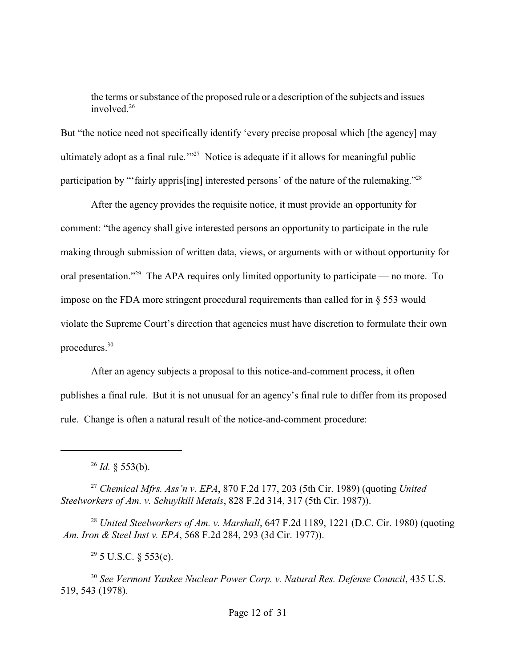the terms or substance of the proposed rule or a description of the subjects and issues involved.<sup>26</sup>

But "the notice need not specifically identify 'every precise proposal which [the agency] may ultimately adopt as a final rule." $27$  Notice is adequate if it allows for meaningful public participation by "fairly appris[ing] interested persons' of the nature of the rulemaking."<sup>28</sup>

After the agency provides the requisite notice, it must provide an opportunity for comment: "the agency shall give interested persons an opportunity to participate in the rule making through submission of written data, views, or arguments with or without opportunity for oral presentation."<sup>29</sup> The APA requires only limited opportunity to participate — no more. To impose on the FDA more stringent procedural requirements than called for in § 553 would violate the Supreme Court's direction that agencies must have discretion to formulate their own procedures. 30

After an agency subjects a proposal to this notice-and-comment process, it often publishes a final rule. But it is not unusual for an agency's final rule to differ from its proposed rule. Change is often a natural result of the notice-and-comment procedure:

*Chemical Mfrs. Ass'n v. EPA*, 870 F.2d 177, 203 (5th Cir. 1989) (quoting *United* <sup>27</sup> *Steelworkers of Am. v. Schuylkill Metals*, 828 F.2d 314, 317 (5th Cir. 1987)).

<sup>28</sup> United Steelworkers of Am. v. Marshall, 647 F.2d 1189, 1221 (D.C. Cir. 1980) (quoting  *Am. Iron & Steel Inst v. EPA*, 568 F.2d 284, 293 (3d Cir. 1977)).

 $29$  5 U.S.C. § 553(c).

<sup>30</sup> See Vermont Yankee Nuclear Power Corp. v. Natural Res. Defense Council, 435 U.S. 519, 543 (1978).

 $^{26}$  *Id.* § 553(b).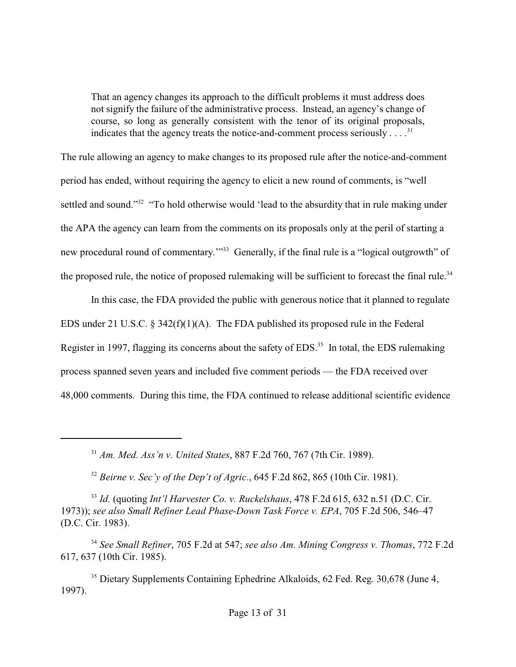That an agency changes its approach to the difficult problems it must address does not signify the failure of the administrative process. Instead, an agency's change of course, so long as generally consistent with the tenor of its original proposals, indicates that the agency treats the notice-and-comment process seriously . . . .<sup>31</sup>

The rule allowing an agency to make changes to its proposed rule after the notice-and-comment period has ended, without requiring the agency to elicit a new round of comments, is "well settled and sound."<sup>32</sup> "To hold otherwise would 'lead to the absurdity that in rule making under the APA the agency can learn from the comments on its proposals only at the peril of starting a new procedural round of commentary."<sup>33</sup> Generally, if the final rule is a "logical outgrowth" of the proposed rule, the notice of proposed rulemaking will be sufficient to forecast the final rule.<sup>34</sup>

In this case, the FDA provided the public with generous notice that it planned to regulate EDS under 21 U.S.C. § 342(f)(1)(A). The FDA published its proposed rule in the Federal Register in 1997, flagging its concerns about the safety of EDS.<sup>35</sup> In total, the EDS rulemaking process spanned seven years and included five comment periods — the FDA received over 48,000 comments. During this time, the FDA continued to release additional scientific evidence

*Am. Med. Ass'n v. United States*, 887 F.2d 760, 767 (7th Cir. 1989). <sup>31</sup>

<sup>32</sup> Beirne v. Sec'y of the Dep't of Agric., 645 F.2d 862, 865 (10th Cir. 1981).

<sup>33</sup> Id. (quoting *Int'l Harvester Co. v. Ruckelshaus*, 478 F.2d 615, 632 n.51 (D.C. Cir. 1973)); *see also Small Refiner Lead Phase-Down Task Force v. EPA*, 705 F.2d 506, 546–47 (D.C. Cir. 1983).

<sup>34</sup> See Small Refiner, 705 F.2d at 547; see also Am. Mining Congress v. Thomas, 772 F.2d 617, 637 (10th Cir. 1985).

<sup>35</sup> Dietary Supplements Containing Ephedrine Alkaloids, 62 Fed. Reg. 30,678 (June 4, 1997).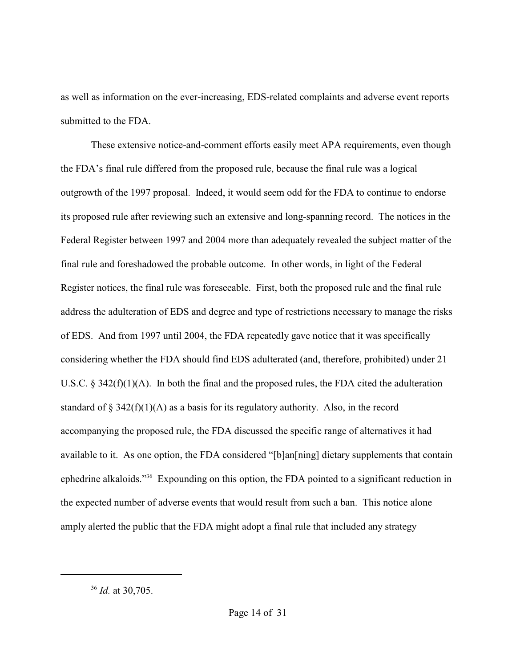as well as information on the ever-increasing, EDS-related complaints and adverse event reports submitted to the FDA.

These extensive notice-and-comment efforts easily meet APA requirements, even though the FDA's final rule differed from the proposed rule, because the final rule was a logical outgrowth of the 1997 proposal. Indeed, it would seem odd for the FDA to continue to endorse its proposed rule after reviewing such an extensive and long-spanning record. The notices in the Federal Register between 1997 and 2004 more than adequately revealed the subject matter of the final rule and foreshadowed the probable outcome. In other words, in light of the Federal Register notices, the final rule was foreseeable. First, both the proposed rule and the final rule address the adulteration of EDS and degree and type of restrictions necessary to manage the risks of EDS. And from 1997 until 2004, the FDA repeatedly gave notice that it was specifically considering whether the FDA should find EDS adulterated (and, therefore, prohibited) under 21 U.S.C. § 342(f)(1)(A). In both the final and the proposed rules, the FDA cited the adulteration standard of  $\S 342(f)(1)(A)$  as a basis for its regulatory authority. Also, in the record accompanying the proposed rule, the FDA discussed the specific range of alternatives it had available to it. As one option, the FDA considered "[b]an[ning] dietary supplements that contain ephedrine alkaloids."<sup>36</sup> Expounding on this option, the FDA pointed to a significant reduction in the expected number of adverse events that would result from such a ban. This notice alone amply alerted the public that the FDA might adopt a final rule that included any strategy

 $^{36}$  *Id.* at 30,705.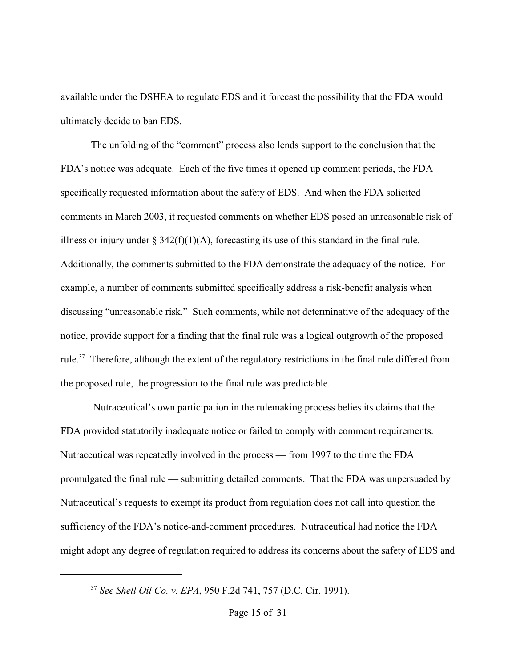available under the DSHEA to regulate EDS and it forecast the possibility that the FDA would ultimately decide to ban EDS.

The unfolding of the "comment" process also lends support to the conclusion that the FDA's notice was adequate. Each of the five times it opened up comment periods, the FDA specifically requested information about the safety of EDS. And when the FDA solicited comments in March 2003, it requested comments on whether EDS posed an unreasonable risk of illness or injury under  $\S 342(f)(1)(A)$ , forecasting its use of this standard in the final rule. Additionally, the comments submitted to the FDA demonstrate the adequacy of the notice. For example, a number of comments submitted specifically address a risk-benefit analysis when discussing "unreasonable risk." Such comments, while not determinative of the adequacy of the notice, provide support for a finding that the final rule was a logical outgrowth of the proposed rule.<sup>37</sup> Therefore, although the extent of the regulatory restrictions in the final rule differed from the proposed rule, the progression to the final rule was predictable.

 Nutraceutical's own participation in the rulemaking process belies its claims that the FDA provided statutorily inadequate notice or failed to comply with comment requirements. Nutraceutical was repeatedly involved in the process — from 1997 to the time the FDA promulgated the final rule — submitting detailed comments. That the FDA was unpersuaded by Nutraceutical's requests to exempt its product from regulation does not call into question the sufficiency of the FDA's notice-and-comment procedures. Nutraceutical had notice the FDA might adopt any degree of regulation required to address its concerns about the safety of EDS and

<sup>&</sup>lt;sup>37</sup> See Shell Oil Co. v. EPA, 950 F.2d 741, 757 (D.C. Cir. 1991).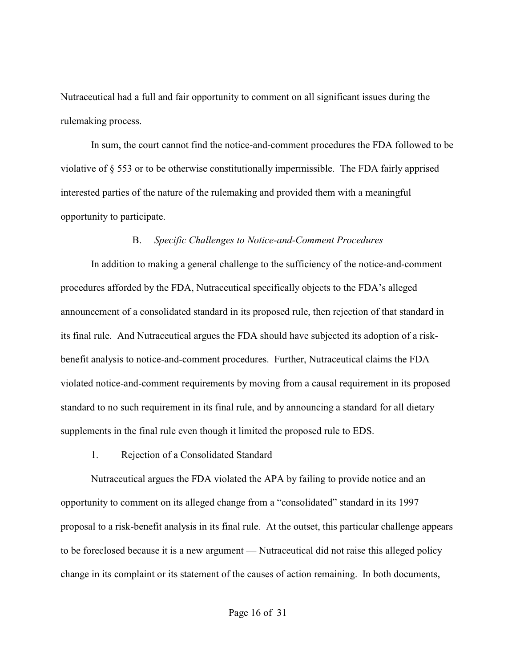Nutraceutical had a full and fair opportunity to comment on all significant issues during the rulemaking process.

In sum, the court cannot find the notice-and-comment procedures the FDA followed to be violative of § 553 or to be otherwise constitutionally impermissible. The FDA fairly apprised interested parties of the nature of the rulemaking and provided them with a meaningful opportunity to participate.

### B. *Specific Challenges to Notice-and-Comment Procedures*

In addition to making a general challenge to the sufficiency of the notice-and-comment procedures afforded by the FDA, Nutraceutical specifically objects to the FDA's alleged announcement of a consolidated standard in its proposed rule, then rejection of that standard in its final rule. And Nutraceutical argues the FDA should have subjected its adoption of a riskbenefit analysis to notice-and-comment procedures. Further, Nutraceutical claims the FDA violated notice-and-comment requirements by moving from a causal requirement in its proposed standard to no such requirement in its final rule, and by announcing a standard for all dietary supplements in the final rule even though it limited the proposed rule to EDS.

### 1. Rejection of a Consolidated Standard

Nutraceutical argues the FDA violated the APA by failing to provide notice and an opportunity to comment on its alleged change from a "consolidated" standard in its 1997 proposal to a risk-benefit analysis in its final rule. At the outset, this particular challenge appears to be foreclosed because it is a new argument — Nutraceutical did not raise this alleged policy change in its complaint or its statement of the causes of action remaining. In both documents,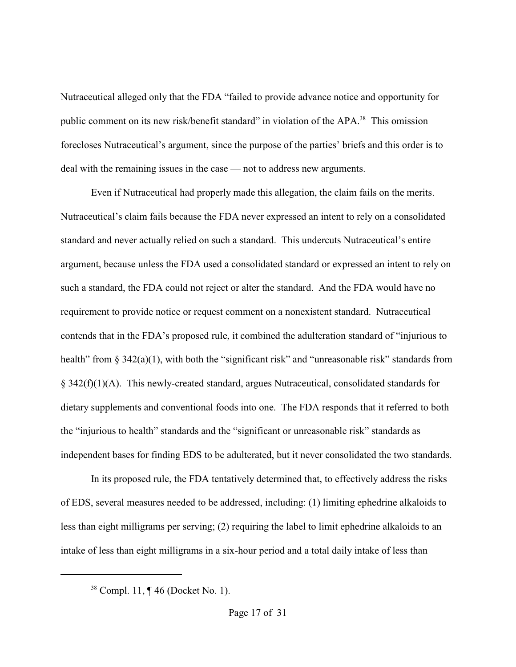Nutraceutical alleged only that the FDA "failed to provide advance notice and opportunity for public comment on its new risk/benefit standard" in violation of the APA.<sup>38</sup> This omission forecloses Nutraceutical's argument, since the purpose of the parties' briefs and this order is to deal with the remaining issues in the case — not to address new arguments.

Even if Nutraceutical had properly made this allegation, the claim fails on the merits. Nutraceutical's claim fails because the FDA never expressed an intent to rely on a consolidated standard and never actually relied on such a standard. This undercuts Nutraceutical's entire argument, because unless the FDA used a consolidated standard or expressed an intent to rely on such a standard, the FDA could not reject or alter the standard. And the FDA would have no requirement to provide notice or request comment on a nonexistent standard. Nutraceutical contends that in the FDA's proposed rule, it combined the adulteration standard of "injurious to health" from § 342(a)(1), with both the "significant risk" and "unreasonable risk" standards from § 342(f)(1)(A). This newly-created standard, argues Nutraceutical, consolidated standards for dietary supplements and conventional foods into one. The FDA responds that it referred to both the "injurious to health" standards and the "significant or unreasonable risk" standards as independent bases for finding EDS to be adulterated, but it never consolidated the two standards.

In its proposed rule, the FDA tentatively determined that, to effectively address the risks of EDS, several measures needed to be addressed, including: (1) limiting ephedrine alkaloids to less than eight milligrams per serving; (2) requiring the label to limit ephedrine alkaloids to an intake of less than eight milligrams in a six-hour period and a total daily intake of less than

 $38$  Compl. 11, ¶ 46 (Docket No. 1).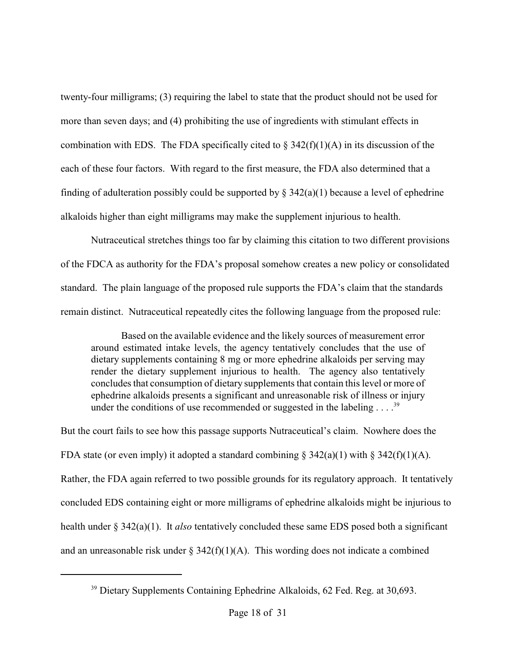twenty-four milligrams; (3) requiring the label to state that the product should not be used for more than seven days; and (4) prohibiting the use of ingredients with stimulant effects in combination with EDS. The FDA specifically cited to  $\S 342(f)(1)(A)$  in its discussion of the each of these four factors. With regard to the first measure, the FDA also determined that a finding of adulteration possibly could be supported by  $\S$  342(a)(1) because a level of ephedrine alkaloids higher than eight milligrams may make the supplement injurious to health.

Nutraceutical stretches things too far by claiming this citation to two different provisions of the FDCA as authority for the FDA's proposal somehow creates a new policy or consolidated standard. The plain language of the proposed rule supports the FDA's claim that the standards remain distinct. Nutraceutical repeatedly cites the following language from the proposed rule:

Based on the available evidence and the likely sources of measurement error around estimated intake levels, the agency tentatively concludes that the use of dietary supplements containing 8 mg or more ephedrine alkaloids per serving may render the dietary supplement injurious to health. The agency also tentatively concludes that consumption of dietary supplements that contain this level or more of ephedrine alkaloids presents a significant and unreasonable risk of illness or injury under the conditions of use recommended or suggested in the labeling  $\dots$ <sup>39</sup>

But the court fails to see how this passage supports Nutraceutical's claim. Nowhere does the FDA state (or even imply) it adopted a standard combining  $\S 342(a)(1)$  with  $\S 342(f)(1)(A)$ . Rather, the FDA again referred to two possible grounds for its regulatory approach. It tentatively concluded EDS containing eight or more milligrams of ephedrine alkaloids might be injurious to health under § 342(a)(1). It *also* tentatively concluded these same EDS posed both a significant and an unreasonable risk under  $\S 342(f)(1)(A)$ . This wording does not indicate a combined

 $39$  Dietary Supplements Containing Ephedrine Alkaloids, 62 Fed. Reg. at 30,693.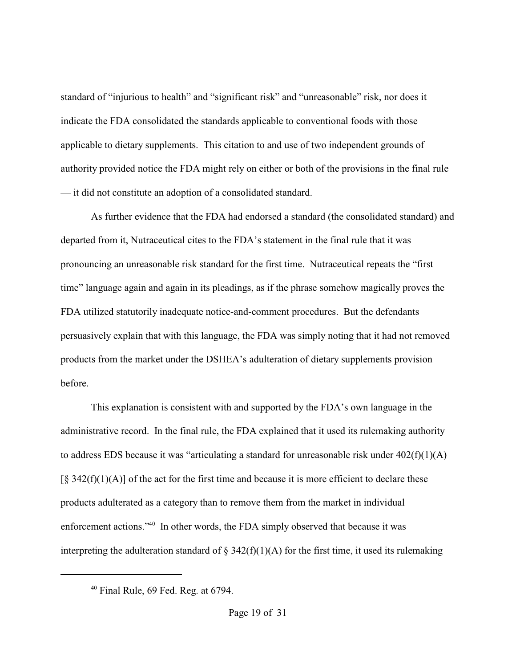standard of "injurious to health" and "significant risk" and "unreasonable" risk, nor does it indicate the FDA consolidated the standards applicable to conventional foods with those applicable to dietary supplements. This citation to and use of two independent grounds of authority provided notice the FDA might rely on either or both of the provisions in the final rule — it did not constitute an adoption of a consolidated standard.

As further evidence that the FDA had endorsed a standard (the consolidated standard) and departed from it, Nutraceutical cites to the FDA's statement in the final rule that it was pronouncing an unreasonable risk standard for the first time. Nutraceutical repeats the "first time" language again and again in its pleadings, as if the phrase somehow magically proves the FDA utilized statutorily inadequate notice-and-comment procedures. But the defendants persuasively explain that with this language, the FDA was simply noting that it had not removed products from the market under the DSHEA's adulteration of dietary supplements provision before.

This explanation is consistent with and supported by the FDA's own language in the administrative record. In the final rule, the FDA explained that it used its rulemaking authority to address EDS because it was "articulating a standard for unreasonable risk under  $402(f)(1)(A)$  $[\S$  342(f)(1)(A)] of the act for the first time and because it is more efficient to declare these products adulterated as a category than to remove them from the market in individual enforcement actions." $40$  In other words, the FDA simply observed that because it was interpreting the adulteration standard of  $\S 342(f)(1)(A)$  for the first time, it used its rulemaking

 $40$  Final Rule, 69 Fed. Reg. at 6794.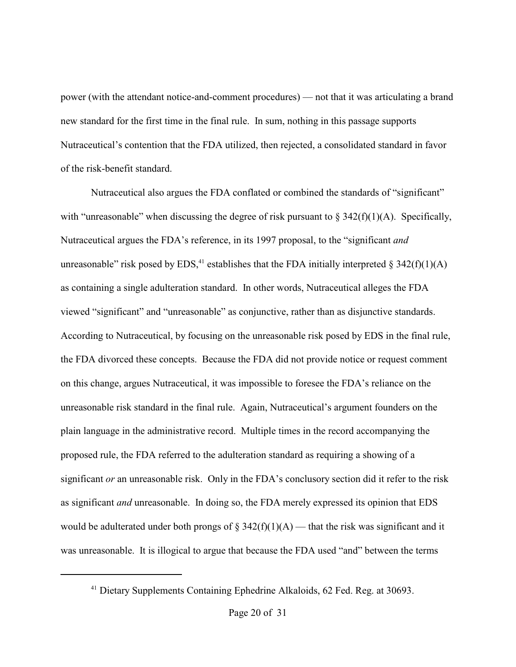power (with the attendant notice-and-comment procedures) — not that it was articulating a brand new standard for the first time in the final rule. In sum, nothing in this passage supports Nutraceutical's contention that the FDA utilized, then rejected, a consolidated standard in favor of the risk-benefit standard.

Nutraceutical also argues the FDA conflated or combined the standards of "significant" with "unreasonable" when discussing the degree of risk pursuant to  $\S 342(f)(1)(A)$ . Specifically, Nutraceutical argues the FDA's reference, in its 1997 proposal, to the "significant *and* unreasonable" risk posed by EDS,<sup>41</sup> establishes that the FDA initially interpreted § 342(f)(1)(A) as containing a single adulteration standard. In other words, Nutraceutical alleges the FDA viewed "significant" and "unreasonable" as conjunctive, rather than as disjunctive standards. According to Nutraceutical, by focusing on the unreasonable risk posed by EDS in the final rule, the FDA divorced these concepts. Because the FDA did not provide notice or request comment on this change, argues Nutraceutical, it was impossible to foresee the FDA's reliance on the unreasonable risk standard in the final rule. Again, Nutraceutical's argument founders on the plain language in the administrative record. Multiple times in the record accompanying the proposed rule, the FDA referred to the adulteration standard as requiring a showing of a significant *or* an unreasonable risk. Only in the FDA's conclusory section did it refer to the risk as significant *and* unreasonable. In doing so, the FDA merely expressed its opinion that EDS would be adulterated under both prongs of  $\S$  342(f)(1)(A) — that the risk was significant and it was unreasonable. It is illogical to argue that because the FDA used "and" between the terms

 $41$  Dietary Supplements Containing Ephedrine Alkaloids, 62 Fed. Reg. at 30693.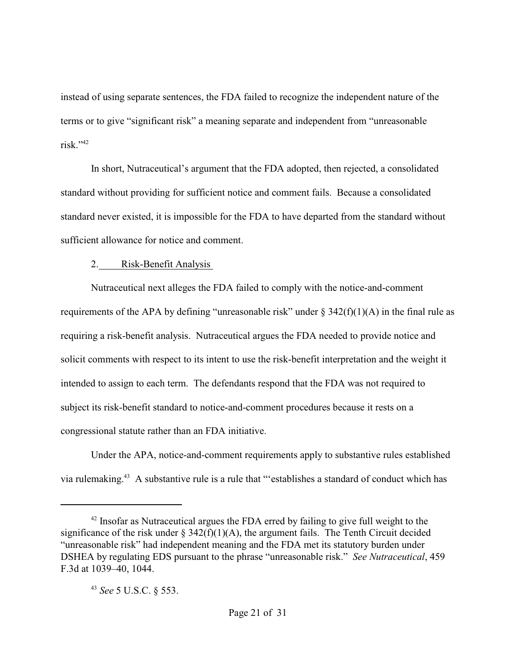instead of using separate sentences, the FDA failed to recognize the independent nature of the terms or to give "significant risk" a meaning separate and independent from "unreasonable risk." $42$ 

In short, Nutraceutical's argument that the FDA adopted, then rejected, a consolidated standard without providing for sufficient notice and comment fails. Because a consolidated standard never existed, it is impossible for the FDA to have departed from the standard without sufficient allowance for notice and comment.

## 2. Risk-Benefit Analysis

Nutraceutical next alleges the FDA failed to comply with the notice-and-comment requirements of the APA by defining "unreasonable risk" under  $\S 342(f)(1)(A)$  in the final rule as requiring a risk-benefit analysis. Nutraceutical argues the FDA needed to provide notice and solicit comments with respect to its intent to use the risk-benefit interpretation and the weight it intended to assign to each term. The defendants respond that the FDA was not required to subject its risk-benefit standard to notice-and-comment procedures because it rests on a congressional statute rather than an FDA initiative.

Under the APA, notice-and-comment requirements apply to substantive rules established via rulemaking.<sup>43</sup> A substantive rule is a rule that "'establishes a standard of conduct which has

 $12$ <sup>42</sup> Insofar as Nutraceutical argues the FDA erred by failing to give full weight to the significance of the risk under  $\S 342(f)(1)(A)$ , the argument fails. The Tenth Circuit decided "unreasonable risk" had independent meaning and the FDA met its statutory burden under DSHEA by regulating EDS pursuant to the phrase "unreasonable risk." *See Nutraceutical*, 459 F.3d at 1039–40, 1044.

<sup>&</sup>lt;sup>43</sup> See 5 U.S.C. § 553.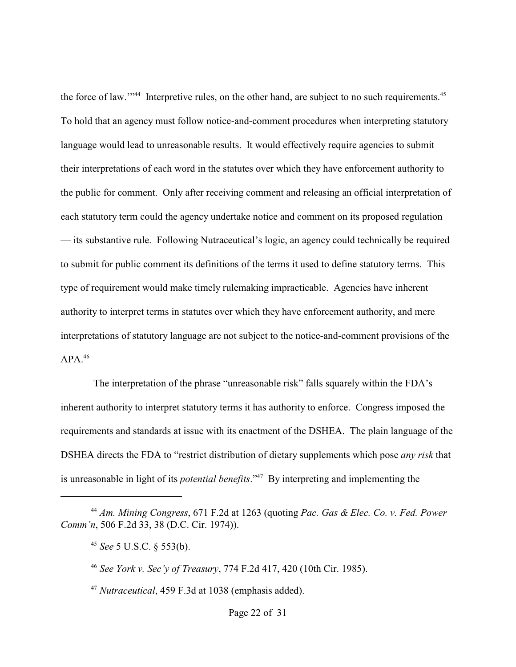the force of law."<sup>44</sup> Interpretive rules, on the other hand, are subject to no such requirements. $45$ To hold that an agency must follow notice-and-comment procedures when interpreting statutory language would lead to unreasonable results. It would effectively require agencies to submit their interpretations of each word in the statutes over which they have enforcement authority to the public for comment. Only after receiving comment and releasing an official interpretation of each statutory term could the agency undertake notice and comment on its proposed regulation — its substantive rule. Following Nutraceutical's logic, an agency could technically be required to submit for public comment its definitions of the terms it used to define statutory terms. This type of requirement would make timely rulemaking impracticable. Agencies have inherent authority to interpret terms in statutes over which they have enforcement authority, and mere interpretations of statutory language are not subject to the notice-and-comment provisions of the  $APA.<sup>46</sup>$ 

 The interpretation of the phrase "unreasonable risk" falls squarely within the FDA's inherent authority to interpret statutory terms it has authority to enforce. Congress imposed the requirements and standards at issue with its enactment of the DSHEA. The plain language of the DSHEA directs the FDA to "restrict distribution of dietary supplements which pose *any risk* that is unreasonable in light of its *potential benefits*."<sup>47</sup> By interpreting and implementing the

<sup>47</sup> Nutraceutical, 459 F.3d at 1038 (emphasis added).

*Am. Mining Congress*, 671 F.2d at 1263 (quoting *Pac. Gas & Elec. Co. v. Fed. Power* <sup>44</sup> *Comm'n*, 506 F.2d 33, 38 (D.C. Cir. 1974)).

<sup>&</sup>lt;sup>45</sup> See 5 U.S.C. § 553(b).

*See York v. Sec'y of Treasury*, 774 F.2d 417, 420 (10th Cir. 1985). <sup>46</sup>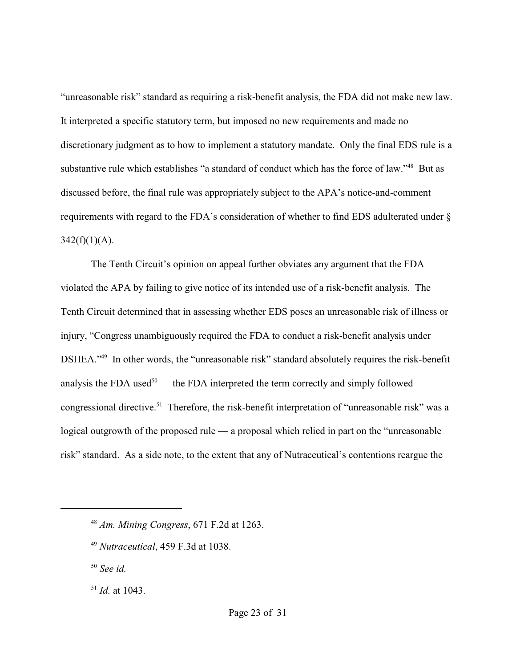"unreasonable risk" standard as requiring a risk-benefit analysis, the FDA did not make new law. It interpreted a specific statutory term, but imposed no new requirements and made no discretionary judgment as to how to implement a statutory mandate. Only the final EDS rule is a substantive rule which establishes "a standard of conduct which has the force of law."<sup>48</sup> But as discussed before, the final rule was appropriately subject to the APA's notice-and-comment requirements with regard to the FDA's consideration of whether to find EDS adulterated under §  $342(f)(1)(A)$ .

The Tenth Circuit's opinion on appeal further obviates any argument that the FDA violated the APA by failing to give notice of its intended use of a risk-benefit analysis. The Tenth Circuit determined that in assessing whether EDS poses an unreasonable risk of illness or injury, "Congress unambiguously required the FDA to conduct a risk-benefit analysis under DSHEA."<sup>49</sup> In other words, the "unreasonable risk" standard absolutely requires the risk-benefit analysis the FDA used $50$  — the FDA interpreted the term correctly and simply followed congressional directive.<sup>51</sup> Therefore, the risk-benefit interpretation of "unreasonable risk" was a logical outgrowth of the proposed rule — a proposal which relied in part on the "unreasonable risk" standard. As a side note, to the extent that any of Nutraceutical's contentions reargue the

*See id.* <sup>50</sup>

 $^{51}$  *Id.* at 1043.

*Am. Mining Congress*, 671 F.2d at 1263. <sup>48</sup>

<sup>&</sup>lt;sup>49</sup> Nutraceutical, 459 F.3d at 1038.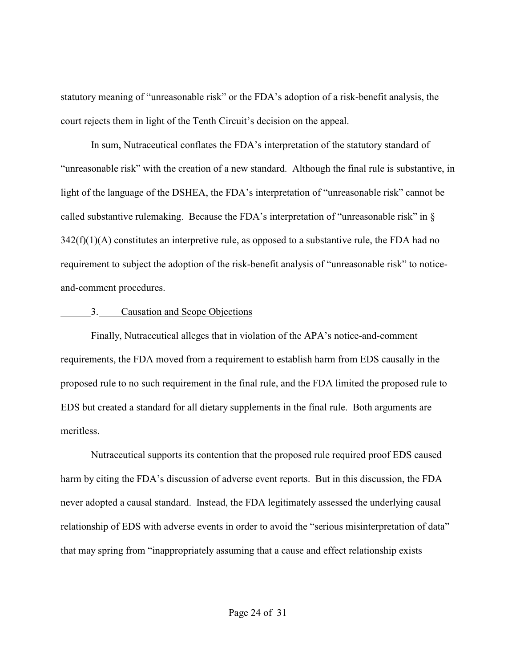statutory meaning of "unreasonable risk" or the FDA's adoption of a risk-benefit analysis, the court rejects them in light of the Tenth Circuit's decision on the appeal.

In sum, Nutraceutical conflates the FDA's interpretation of the statutory standard of "unreasonable risk" with the creation of a new standard. Although the final rule is substantive, in light of the language of the DSHEA, the FDA's interpretation of "unreasonable risk" cannot be called substantive rulemaking. Because the FDA's interpretation of "unreasonable risk" in §  $342(f)(1)(A)$  constitutes an interpretive rule, as opposed to a substantive rule, the FDA had no requirement to subject the adoption of the risk-benefit analysis of "unreasonable risk" to noticeand-comment procedures.

### 3. Causation and Scope Objections

Finally, Nutraceutical alleges that in violation of the APA's notice-and-comment requirements, the FDA moved from a requirement to establish harm from EDS causally in the proposed rule to no such requirement in the final rule, and the FDA limited the proposed rule to EDS but created a standard for all dietary supplements in the final rule. Both arguments are meritless.

Nutraceutical supports its contention that the proposed rule required proof EDS caused harm by citing the FDA's discussion of adverse event reports. But in this discussion, the FDA never adopted a causal standard. Instead, the FDA legitimately assessed the underlying causal relationship of EDS with adverse events in order to avoid the "serious misinterpretation of data" that may spring from "inappropriately assuming that a cause and effect relationship exists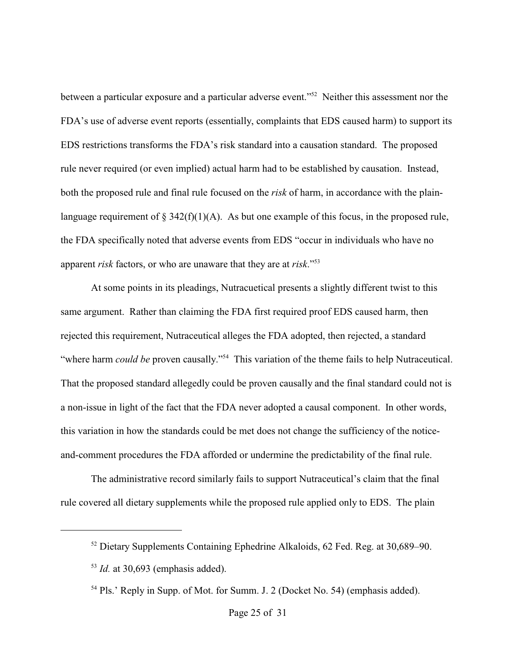between a particular exposure and a particular adverse event."<sup>52</sup> Neither this assessment nor the FDA's use of adverse event reports (essentially, complaints that EDS caused harm) to support its EDS restrictions transforms the FDA's risk standard into a causation standard. The proposed rule never required (or even implied) actual harm had to be established by causation. Instead, both the proposed rule and final rule focused on the *risk* of harm, in accordance with the plainlanguage requirement of  $\S$  342(f)(1)(A). As but one example of this focus, in the proposed rule, the FDA specifically noted that adverse events from EDS "occur in individuals who have no apparent *risk* factors, or who are unaware that they are at *risk*."<sup>53</sup>

At some points in its pleadings, Nutracuetical presents a slightly different twist to this same argument. Rather than claiming the FDA first required proof EDS caused harm, then rejected this requirement, Nutraceutical alleges the FDA adopted, then rejected, a standard "where harm *could be* proven causally."<sup>54</sup> This variation of the theme fails to help Nutraceutical. That the proposed standard allegedly could be proven causally and the final standard could not is a non-issue in light of the fact that the FDA never adopted a causal component. In other words, this variation in how the standards could be met does not change the sufficiency of the noticeand-comment procedures the FDA afforded or undermine the predictability of the final rule.

The administrative record similarly fails to support Nutraceutical's claim that the final rule covered all dietary supplements while the proposed rule applied only to EDS. The plain

 $52$  Dietary Supplements Containing Ephedrine Alkaloids, 62 Fed. Reg. at 30,689–90.

 $I$ d. at 30,693 (emphasis added).

 $54$  Pls.' Reply in Supp. of Mot. for Summ. J. 2 (Docket No. 54) (emphasis added).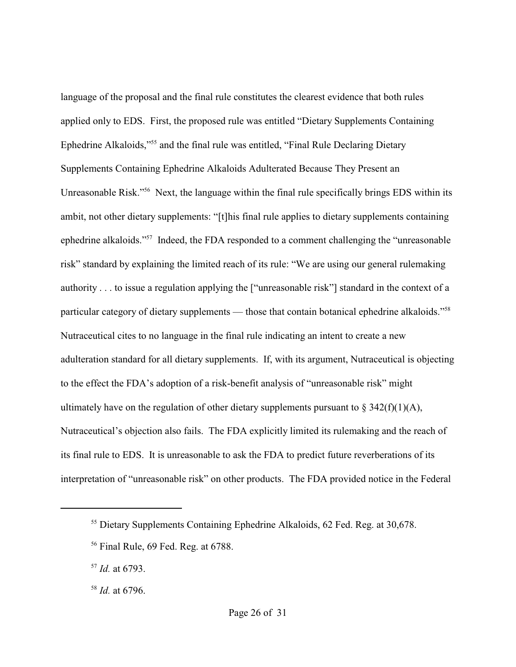language of the proposal and the final rule constitutes the clearest evidence that both rules applied only to EDS. First, the proposed rule was entitled "Dietary Supplements Containing Ephedrine Alkaloids,"<sup>55</sup> and the final rule was entitled, "Final Rule Declaring Dietary Supplements Containing Ephedrine Alkaloids Adulterated Because They Present an Unreasonable Risk."<sup>56</sup> Next, the language within the final rule specifically brings EDS within its ambit, not other dietary supplements: "[t]his final rule applies to dietary supplements containing ephedrine alkaloids."<sup>57</sup> Indeed, the FDA responded to a comment challenging the "unreasonable" risk" standard by explaining the limited reach of its rule: "We are using our general rulemaking authority . . . to issue a regulation applying the ["unreasonable risk"] standard in the context of a particular category of dietary supplements — those that contain botanical ephedrine alkaloids."<sup>58</sup> Nutraceutical cites to no language in the final rule indicating an intent to create a new adulteration standard for all dietary supplements. If, with its argument, Nutraceutical is objecting to the effect the FDA's adoption of a risk-benefit analysis of "unreasonable risk" might ultimately have on the regulation of other dietary supplements pursuant to  $\S 342(f)(1)(A)$ , Nutraceutical's objection also fails. The FDA explicitly limited its rulemaking and the reach of its final rule to EDS. It is unreasonable to ask the FDA to predict future reverberations of its interpretation of "unreasonable risk" on other products. The FDA provided notice in the Federal

 $55$  Dietary Supplements Containing Ephedrine Alkaloids, 62 Fed. Reg. at 30.678.

 $56$  Final Rule, 69 Fed. Reg. at 6788.

 $^{57}$  *Id.* at 6793.

 $^{58}$  *Id.* at 6796.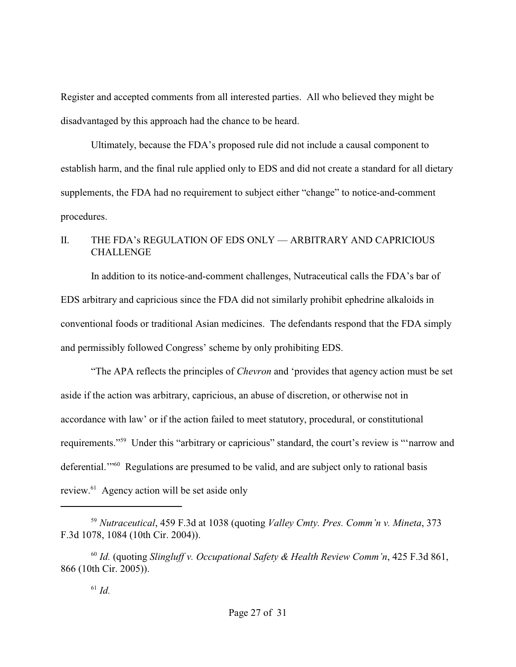Register and accepted comments from all interested parties. All who believed they might be disadvantaged by this approach had the chance to be heard.

Ultimately, because the FDA's proposed rule did not include a causal component to establish harm, and the final rule applied only to EDS and did not create a standard for all dietary supplements, the FDA had no requirement to subject either "change" to notice-and-comment procedures.

# II. THE FDA's REGULATION OF EDS ONLY — ARBITRARY AND CAPRICIOUS **CHALLENGE**

In addition to its notice-and-comment challenges, Nutraceutical calls the FDA's bar of EDS arbitrary and capricious since the FDA did not similarly prohibit ephedrine alkaloids in conventional foods or traditional Asian medicines. The defendants respond that the FDA simply and permissibly followed Congress' scheme by only prohibiting EDS.

"The APA reflects the principles of *Chevron* and 'provides that agency action must be set aside if the action was arbitrary, capricious, an abuse of discretion, or otherwise not in accordance with law' or if the action failed to meet statutory, procedural, or constitutional requirements."<sup>59</sup> Under this "arbitrary or capricious" standard, the court's review is ""narrow and deferential. $\cdot$ <sup>60</sup> Regulations are presumed to be valid, and are subject only to rational basis review. $61$  Agency action will be set aside only

<sup>&</sup>lt;sup>59</sup> Nutraceutical, 459 F.3d at 1038 (quoting *Valley Cmty. Pres. Comm'n v. Mineta*, 373 F.3d 1078, 1084 (10th Cir. 2004)).

<sup>&</sup>lt;sup>60</sup> Id. (quoting *Slingluff v. Occupational Safety & Health Review Comm'n,* 425 F.3d 861, 866 (10th Cir. 2005)).

 $^{61}$  *Id.*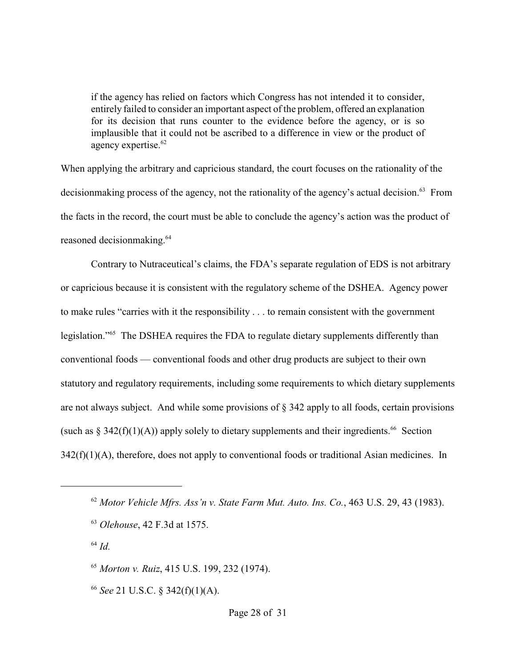if the agency has relied on factors which Congress has not intended it to consider, entirely failed to consider an important aspect of the problem, offered an explanation for its decision that runs counter to the evidence before the agency, or is so implausible that it could not be ascribed to a difference in view or the product of agency expertise.<sup>62</sup>

When applying the arbitrary and capricious standard, the court focuses on the rationality of the decision the process of the agency, not the rationality of the agency's actual decision.<sup>63</sup> From the facts in the record, the court must be able to conclude the agency's action was the product of reasoned decisionmaking.<sup>64</sup>

Contrary to Nutraceutical's claims, the FDA's separate regulation of EDS is not arbitrary or capricious because it is consistent with the regulatory scheme of the DSHEA. Agency power to make rules "carries with it the responsibility . . . to remain consistent with the government legislation."<sup>65</sup> The DSHEA requires the FDA to regulate dietary supplements differently than conventional foods — conventional foods and other drug products are subject to their own statutory and regulatory requirements, including some requirements to which dietary supplements are not always subject. And while some provisions of § 342 apply to all foods, certain provisions (such as § 342(f)(1)(A)) apply solely to dietary supplements and their ingredients.<sup>66</sup> Section 342(f)(1)(A), therefore, does not apply to conventional foods or traditional Asian medicines. In

 $^{64}$  *Id.* 

<sup>65</sup> Morton v. Ruiz, 415 U.S. 199, 232 (1974).

 $66$  See 21 U.S.C.  $\frac{242(f)(1)(A)}{2}$ .

 $^{62}$  *Motor Vehicle Mfrs. Ass'n v. State Farm Mut. Auto. Ins. Co.*, 463 U.S. 29, 43 (1983).

<sup>&</sup>lt;sup>63</sup> Olehouse, 42 F.3d at 1575.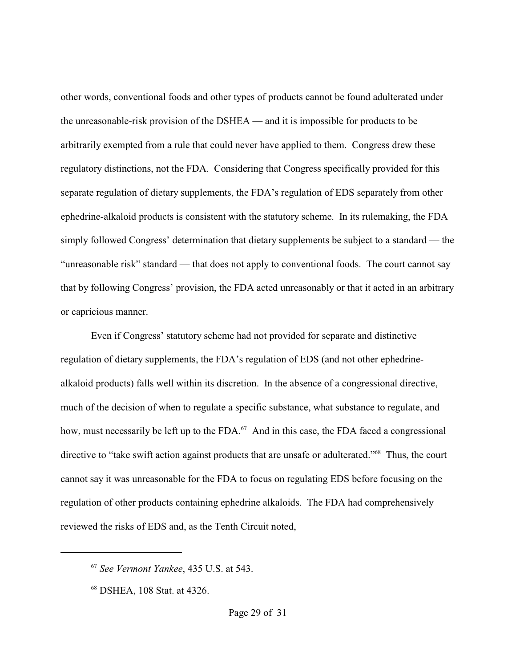other words, conventional foods and other types of products cannot be found adulterated under the unreasonable-risk provision of the DSHEA — and it is impossible for products to be arbitrarily exempted from a rule that could never have applied to them. Congress drew these regulatory distinctions, not the FDA. Considering that Congress specifically provided for this separate regulation of dietary supplements, the FDA's regulation of EDS separately from other ephedrine-alkaloid products is consistent with the statutory scheme. In its rulemaking, the FDA simply followed Congress' determination that dietary supplements be subject to a standard — the "unreasonable risk" standard — that does not apply to conventional foods. The court cannot say that by following Congress' provision, the FDA acted unreasonably or that it acted in an arbitrary or capricious manner.

Even if Congress' statutory scheme had not provided for separate and distinctive regulation of dietary supplements, the FDA's regulation of EDS (and not other ephedrinealkaloid products) falls well within its discretion. In the absence of a congressional directive, much of the decision of when to regulate a specific substance, what substance to regulate, and how, must necessarily be left up to the  $FDA<sup>67</sup>$  And in this case, the FDA faced a congressional directive to "take swift action against products that are unsafe or adulterated."<sup>68</sup> Thus, the court cannot say it was unreasonable for the FDA to focus on regulating EDS before focusing on the regulation of other products containing ephedrine alkaloids. The FDA had comprehensively reviewed the risks of EDS and, as the Tenth Circuit noted,

<sup>&</sup>lt;sup>67</sup> See Vermont Yankee, 435 U.S. at 543.

<sup>&</sup>lt;sup>68</sup> DSHEA, 108 Stat. at 4326.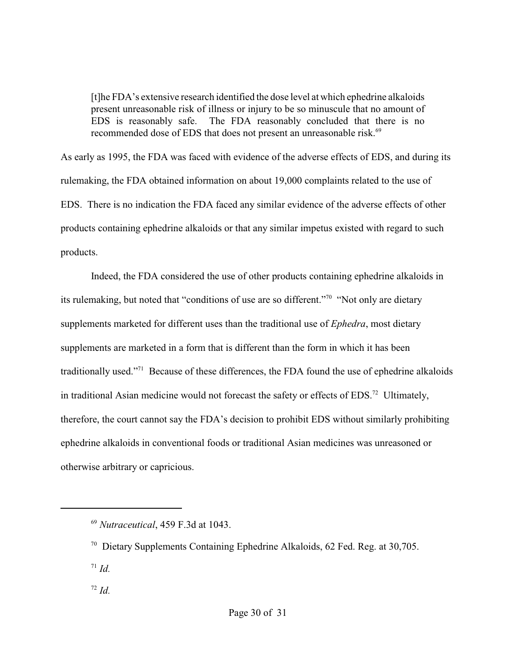[t]he FDA's extensive research identified the dose level at which ephedrine alkaloids present unreasonable risk of illness or injury to be so minuscule that no amount of EDS is reasonably safe. The FDA reasonably concluded that there is no recommended dose of EDS that does not present an unreasonable risk.<sup>69</sup>

As early as 1995, the FDA was faced with evidence of the adverse effects of EDS, and during its rulemaking, the FDA obtained information on about 19,000 complaints related to the use of EDS. There is no indication the FDA faced any similar evidence of the adverse effects of other products containing ephedrine alkaloids or that any similar impetus existed with regard to such products.

Indeed, the FDA considered the use of other products containing ephedrine alkaloids in its rulemaking, but noted that "conditions of use are so different."<sup>70</sup> "Not only are dietary supplements marketed for different uses than the traditional use of *Ephedra*, most dietary supplements are marketed in a form that is different than the form in which it has been traditionally used."<sup> $71$ </sup> Because of these differences, the FDA found the use of ephedrine alkaloids in traditional Asian medicine would not forecast the safety or effects of EDS.<sup>72</sup> Ultimately, therefore, the court cannot say the FDA's decision to prohibit EDS without similarly prohibiting ephedrine alkaloids in conventional foods or traditional Asian medicines was unreasoned or otherwise arbitrary or capricious.

 $\overline{d}$ .  $\overline{d}$ 

<sup>&</sup>lt;sup>69</sup> Nutraceutical, 459 F.3d at 1043.

 $\frac{70}{2}$  Dietary Supplements Containing Ephedrine Alkaloids, 62 Fed. Reg. at 30,705.

 $\overline{d}$ *Id.*